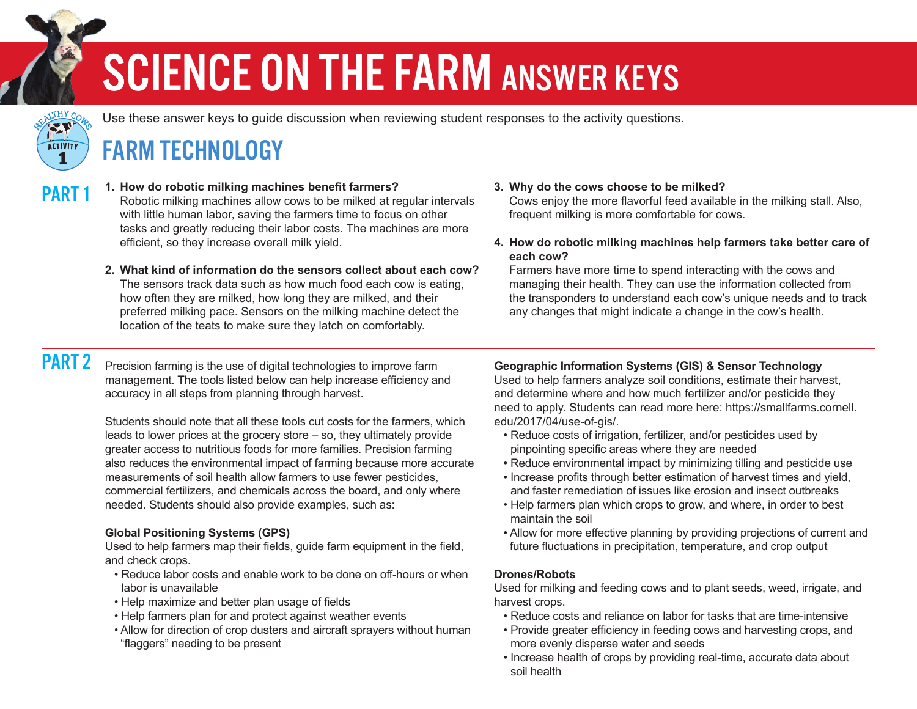## SCIENCE ON THE FARM ANSWER KEYS



Use these answer keys to guide discussion when reviewing student responses to the activity questions.

### FARM TECHNOLOGY

PART<sub>1</sub> **1. How do robotic milking machines benefit farmers?**

 Robotic milking machines allow cows to be milked at regular intervals with little human labor, saving the farmers time to focus on other tasks and greatly reducing their labor costs. The machines are more efficient, so they increase overall milk yield.

**2. What kind of information do the sensors collect about each cow?** The sensors track data such as how much food each cow is eating, how often they are milked, how long they are milked, and their preferred milking pace. Sensors on the milking machine detect the location of the teats to make sure they latch on comfortably.

#### **3. Why do the cows choose to be milked?**

Cows enjoy the more flavorful feed available in the milking stall. Also, frequent milking is more comfortable for cows.

**4. How do robotic milking machines help farmers take better care of each cow?**

 Farmers have more time to spend interacting with the cows and managing their health. They can use the information collected from the transponders to understand each cow's unique needs and to track any changes that might indicate a change in the cow's health.

### PART<sub>2</sub>

Precision farming is the use of digital technologies to improve farm management. The tools listed below can help increase efficiency and accuracy in all steps from planning through harvest.

Students should note that all these tools cut costs for the farmers, which leads to lower prices at the grocery store – so, they ultimately provide greater access to nutritious foods for more families. Precision farming also reduces the environmental impact of farming because more accurate measurements of soil health allow farmers to use fewer pesticides, commercial fertilizers, and chemicals across the board, and only where needed. Students should also provide examples, such as:

#### **Global Positioning Systems (GPS)**

Used to help farmers map their fields, guide farm equipment in the field, and check crops.

- Reduce labor costs and enable work to be done on off-hours or when labor is unavailable
- Help maximize and better plan usage of fields
- Help farmers plan for and protect against weather events
- Allow for direction of crop dusters and aircraft sprayers without human "flaggers" needing to be present

**Geographic Information Systems (GIS) & Sensor Technology** Used to help farmers analyze soil conditions, estimate their harvest, and determine where and how much fertilizer and/or pesticide they need to apply. Students can read more here: [https://smallfarms.cornell.](https://smallfarms.cornell.edu/2017/04/use-of-gis/) [edu/2017/04/use-of-gis/.](https://smallfarms.cornell.edu/2017/04/use-of-gis/)

- Reduce costs of irrigation, fertilizer, and/or pesticides used by pinpointing specific areas where they are needed
- Reduce environmental impact by minimizing tilling and pesticide use
- Increase profits through better estimation of harvest times and yield, and faster remediation of issues like erosion and insect outbreaks
- Help farmers plan which crops to grow, and where, in order to best maintain the soil
- Allow for more effective planning by providing projections of current and future fluctuations in precipitation, temperature, and crop output

#### **Drones/Robots**

Used for milking and feeding cows and to plant seeds, weed, irrigate, and harvest crops.

- Reduce costs and reliance on labor for tasks that are time-intensive
- Provide greater efficiency in feeding cows and harvesting crops, and more evenly disperse water and seeds
- Increase health of crops by providing real-time, accurate data about soil health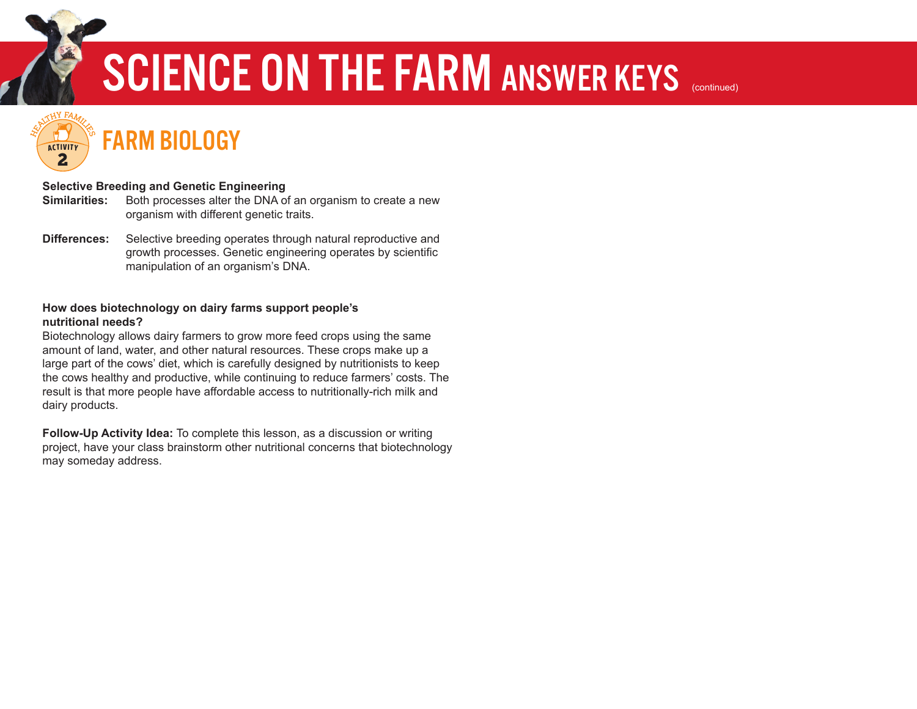## SCIENCE ON THE FARM ANSWER KEYS (continued)

FARM BIOLOGY **HEALTHY FAMILY ACTIVITY** 2

HEALTHY COWS HH<sup>Y</sup>

> **ACTIVITY** 1

#### **Selective Breeding and Genetic Engineering**

- Both processes alter the DNA of an organism to create a new organism with different genetic traits. Similarities:
- Selective breeding operates through natural reproductive and growth processes. Genetic engineering operates by scientific manipulation of an organism's DNA. Differences:

#### **How does biotechnology on dairy farms support people's nutritional needs?**

Biotechnology allows dairy farmers to grow more feed crops using the same amount of land, water, and other natural resources. These crops make up a large part of the cows' diet, which is carefully designed by nutritionists to keep the cows healthy and productive, while continuing to reduce farmers' costs. The result is that more people have affordable access to nutritionally-rich milk and dairy products.

**Follow-Up Activity Idea:** To complete this lesson, as a discussion or writing project, have your class brainstorm other nutritional concerns that biotechnology may someday address.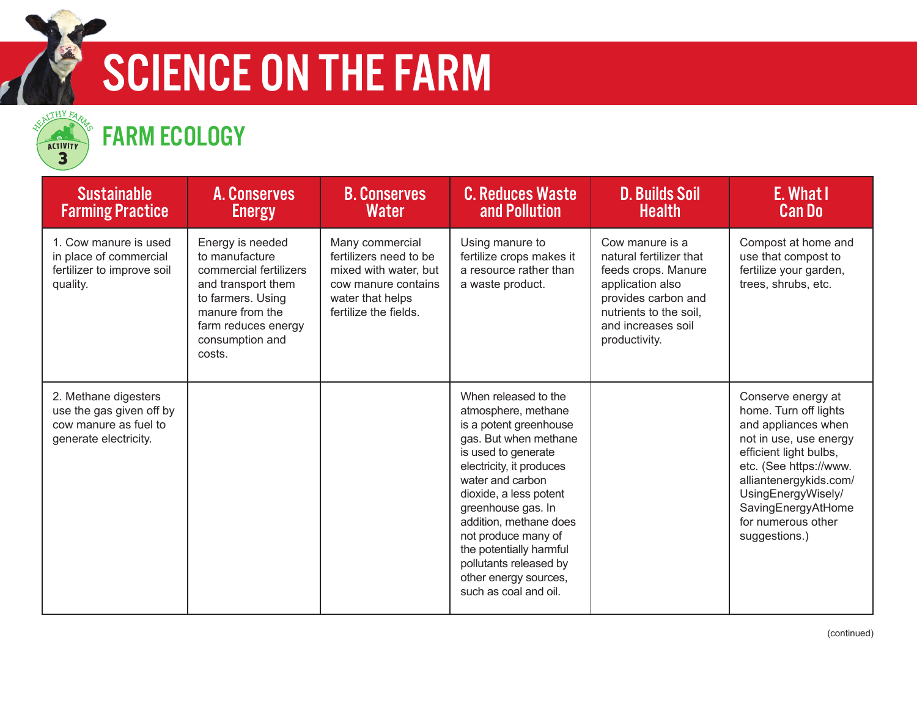

## SCIENCE ON THE FARM



### FARM ECOLOGY

| <b>Sustainable</b><br><b>Farming Practice</b>                                                      | A. Conserves<br><b>Energy</b>                                                                                                                                                  | <b>B. Conserves</b><br>Water                                                                                                           | <b>C. Reduces Waste</b><br>and Pollution                                                                                                                                                                                                                                                                                                                                      | <b>D. Builds Soil</b><br><b>Health</b>                                                                                                                                        | E. What I<br><b>Can Do</b>                                                                                                                                                                                                                                    |
|----------------------------------------------------------------------------------------------------|--------------------------------------------------------------------------------------------------------------------------------------------------------------------------------|----------------------------------------------------------------------------------------------------------------------------------------|-------------------------------------------------------------------------------------------------------------------------------------------------------------------------------------------------------------------------------------------------------------------------------------------------------------------------------------------------------------------------------|-------------------------------------------------------------------------------------------------------------------------------------------------------------------------------|---------------------------------------------------------------------------------------------------------------------------------------------------------------------------------------------------------------------------------------------------------------|
| 1. Cow manure is used<br>in place of commercial<br>fertilizer to improve soil<br>quality.          | Energy is needed<br>to manufacture<br>commercial fertilizers<br>and transport them<br>to farmers. Using<br>manure from the<br>farm reduces energy<br>consumption and<br>costs. | Many commercial<br>fertilizers need to be<br>mixed with water, but<br>cow manure contains<br>water that helps<br>fertilize the fields. | Using manure to<br>fertilize crops makes it<br>a resource rather than<br>a waste product.                                                                                                                                                                                                                                                                                     | Cow manure is a<br>natural fertilizer that<br>feeds crops. Manure<br>application also<br>provides carbon and<br>nutrients to the soil,<br>and increases soil<br>productivity. | Compost at home and<br>use that compost to<br>fertilize your garden,<br>trees, shrubs, etc.                                                                                                                                                                   |
| 2. Methane digesters<br>use the gas given off by<br>cow manure as fuel to<br>generate electricity. |                                                                                                                                                                                |                                                                                                                                        | When released to the<br>atmosphere, methane<br>is a potent greenhouse<br>gas. But when methane<br>is used to generate<br>electricity, it produces<br>water and carbon<br>dioxide, a less potent<br>greenhouse gas. In<br>addition, methane does<br>not produce many of<br>the potentially harmful<br>pollutants released by<br>other energy sources,<br>such as coal and oil. |                                                                                                                                                                               | Conserve energy at<br>home. Turn off lights<br>and appliances when<br>not in use, use energy<br>efficient light bulbs,<br>etc. (See https://www.<br>alliantenergykids.com/<br>UsingEnergyWisely/<br>SavingEnergyAtHome<br>for numerous other<br>suggestions.) |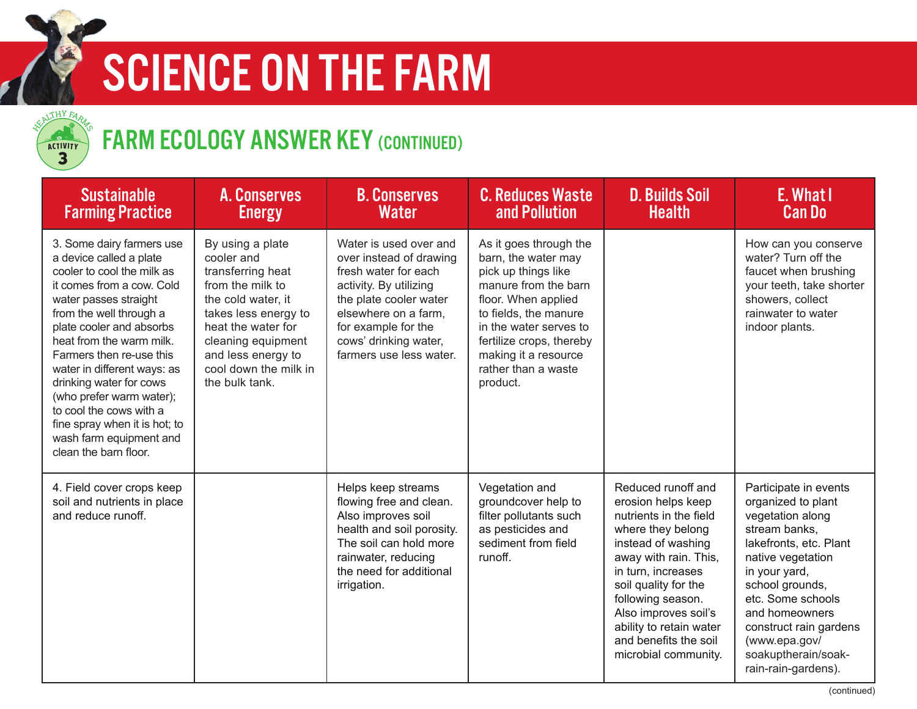

## SCIENCE ON THE FARM



## FARM ECOLOGY ANSWER KEY (CONTINUED)

| <b>Sustainable</b><br><b>Farming Practice</b>                                                                                                                                                                                                                                                                                                                                                                                                                 | <b>A. Conserves</b><br><b>Energy</b>                                                                                                                                                                                               | <b>B. Conserves</b><br><b>Water</b>                                                                                                                                                                                              | <b>C. Reduces Waste</b><br>and Pollution                                                                                                                                                                                                                      | <b>D. Builds Soil</b><br><b>Health</b>                                                                                                                                                                                                                                                                        | E. What I<br><b>Can Do</b>                                                                                                                                                                                                                                                                          |
|---------------------------------------------------------------------------------------------------------------------------------------------------------------------------------------------------------------------------------------------------------------------------------------------------------------------------------------------------------------------------------------------------------------------------------------------------------------|------------------------------------------------------------------------------------------------------------------------------------------------------------------------------------------------------------------------------------|----------------------------------------------------------------------------------------------------------------------------------------------------------------------------------------------------------------------------------|---------------------------------------------------------------------------------------------------------------------------------------------------------------------------------------------------------------------------------------------------------------|---------------------------------------------------------------------------------------------------------------------------------------------------------------------------------------------------------------------------------------------------------------------------------------------------------------|-----------------------------------------------------------------------------------------------------------------------------------------------------------------------------------------------------------------------------------------------------------------------------------------------------|
| 3. Some dairy farmers use<br>a device called a plate<br>cooler to cool the milk as<br>it comes from a cow. Cold<br>water passes straight<br>from the well through a<br>plate cooler and absorbs<br>heat from the warm milk.<br>Farmers then re-use this<br>water in different ways: as<br>drinking water for cows<br>(who prefer warm water);<br>to cool the cows with a<br>fine spray when it is hot; to<br>wash farm equipment and<br>clean the barn floor. | By using a plate<br>cooler and<br>transferring heat<br>from the milk to<br>the cold water, it<br>takes less energy to<br>heat the water for<br>cleaning equipment<br>and less energy to<br>cool down the milk in<br>the bulk tank. | Water is used over and<br>over instead of drawing<br>fresh water for each<br>activity. By utilizing<br>the plate cooler water<br>elsewhere on a farm.<br>for example for the<br>cows' drinking water,<br>farmers use less water. | As it goes through the<br>barn, the water may<br>pick up things like<br>manure from the barn<br>floor. When applied<br>to fields, the manure<br>in the water serves to<br>fertilize crops, thereby<br>making it a resource<br>rather than a waste<br>product. |                                                                                                                                                                                                                                                                                                               | How can you conserve<br>water? Turn off the<br>faucet when brushing<br>your teeth, take shorter<br>showers, collect<br>rainwater to water<br>indoor plants.                                                                                                                                         |
| 4. Field cover crops keep<br>soil and nutrients in place<br>and reduce runoff.                                                                                                                                                                                                                                                                                                                                                                                |                                                                                                                                                                                                                                    | Helps keep streams<br>flowing free and clean.<br>Also improves soil<br>health and soil porosity.<br>The soil can hold more<br>rainwater, reducing<br>the need for additional<br>irrigation.                                      | Vegetation and<br>groundcover help to<br>filter pollutants such<br>as pesticides and<br>sediment from field<br>runoff.                                                                                                                                        | Reduced runoff and<br>erosion helps keep<br>nutrients in the field<br>where they belong<br>instead of washing<br>away with rain. This,<br>in turn, increases<br>soil quality for the<br>following season.<br>Also improves soil's<br>ability to retain water<br>and benefits the soil<br>microbial community. | Participate in events<br>organized to plant<br>vegetation along<br>stream banks,<br>lakefronts, etc. Plant<br>native vegetation<br>in your yard,<br>school grounds,<br>etc. Some schools<br>and homeowners<br>construct rain gardens<br>(www.epa.gov/<br>soakuptherain/soak-<br>rain-rain-gardens). |